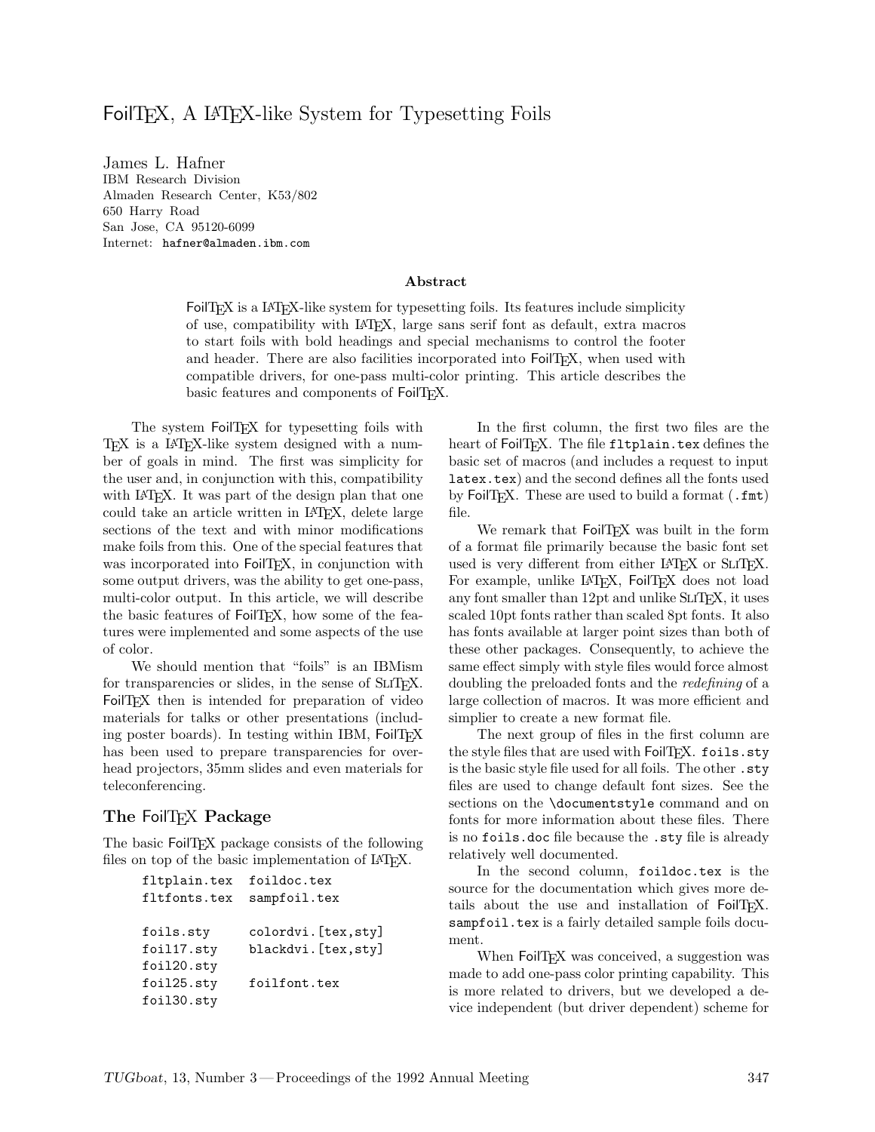#### FoilT<sub>F</sub>X, A L<sup>AT</sup>F<sub>7</sub>X-like System for Typesetting Foils

IBM Research Division Almaden Research Center, K53/802 650 Harry Road San Jose, CA 95120-6099 Internet: hafner@almaden.ibm.com

#### **Abstract**

FoilTEX is a LATEX-like system for typesetting foils. Its features include simplicity of use, compatibility with LATEX, large sans serif font as default, extra macros to start foils with bold headings and special mechanisms to control the footer and header. There are also facilities incorporated into FoilTEX, when used with compatible drivers, for one-pass multi-color printing. This article describes the basic features and components of FoilTFX.

The system FoilTEX for typesetting foils with TEX is a LATEX-like system designed with a number of goals in mind. The first was simplicity for the user and, in conjunction with this, compatibility with IATEX. It was part of the design plan that one could take an article written in LATEX, delete large sections of the text and with minor modifications make foils from this. One of the special features that was incorporated into FoilT<sub>EX</sub>, in conjunction with some output drivers, was the ability to get one-pass, multi-color output. In this article, we will describe the basic features of FoilT<sub>F</sub>X, how some of the features were implemented and some aspects of the use of color.

We should mention that "foils" is an IBMism for transparencies or slides, in the sense of SLITEX. FoilTEX then is intended for preparation of video materials for talks or other presentations (including poster boards). In testing within IBM, FoilTFX has been used to prepare transparencies for overhead projectors, 35mm slides and even materials for teleconferencing.

#### **The** FoilTEX **Package**

The basic FoilT<sub>FX</sub> package consists of the following files on top of the basic implementation of IAT<sub>EX</sub>.

| foildoc.tex          |
|----------------------|
| sampfoil.tex         |
|                      |
| colordvi.[tex,sty]   |
| blackdvi. [tex, sty] |
|                      |
| foilfont.tex         |
|                      |
|                      |

In the first column, the first two files are the heart of FoilTFX. The file fltplain.tex defines the basic set of macros (and includes a request to input latex.tex) and the second defines all the fonts used by FoilTEX. These are used to build a format (.fmt) file.

We remark that FoilTFX was built in the form of a format file primarily because the basic font set used is very different from either LATFX or SLITFX. For example, unlike LATFX, FoilTFX does not load any font smaller than  $12pt$  and unlike SLITEX, it uses scaled 10pt fonts rather than scaled 8pt fonts. It also has fonts available at larger point sizes than both of these other packages. Consequently, to achieve the same effect simply with style files would force almost doubling the preloaded fonts and the *redefining* of a large collection of macros. It was more efficient and simplier to create a new format file.

The next group of files in the first column are the style files that are used with FoilTEX. foils.sty is the basic style file used for all foils. The other .sty files are used to change default font sizes. See the sections on the \documentstyle command and on fonts for more information about these files. There is no foils.doc file because the .sty file is already relatively well documented.

In the second column, foildoc.tex is the source for the documentation which gives more details about the use and installation of FoilTFX. sampfoil.tex is a fairly detailed sample foils document.

When FoilTEX was conceived, a suggestion was made to add one-pass color printing capability. This is more related to drivers, but we developed a device independent (but driver dependent) scheme for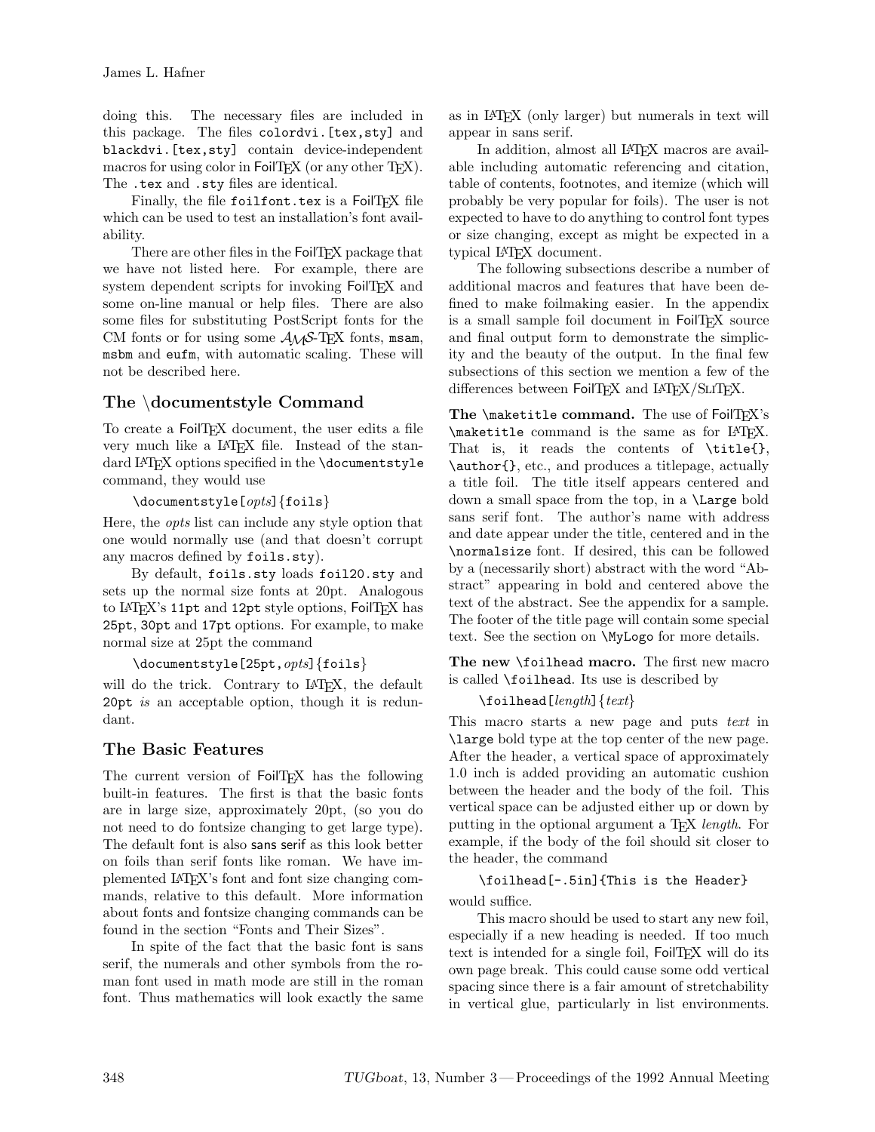doing this. The necessary files are included in this package. The files colordvi.[tex,sty] and blackdvi.[tex,sty] contain device-independent macros for using color in FoilTEX (or any other TEX). The .tex and .sty files are identical.

Finally, the file foilfont.tex is a FoilTFX file which can be used to test an installation's font availability.

There are other files in the FoilTFX package that we have not listed here. For example, there are system dependent scripts for invoking FoilT<sub>EX</sub> and some on-line manual or help files. There are also some files for substituting PostScript fonts for the CM fonts or for using some  $A_{\mathcal{M}}S$ -TEX fonts, msam, msbm and eufm, with automatic scaling. These will not be described here.

#### **The** \**documentstyle Command**

To create a FoilT<sub>EX</sub> document, the user edits a file very much like a IAT<sub>E</sub>X file. Instead of the standard LAT<sub>E</sub>X options specified in the **\documentstyle** command, they would use

#### \documentstyle[*opts*]{foils}

Here, the *opts* list can include any style option that one would normally use (and that doesn't corrupt any macros defined by foils.sty).

By default, foils.sty loads foil20.sty and sets up the normal size fonts at 20pt. Analogous to LAT<sub>E</sub>X's 11pt and 12pt style options, FoilT<sub>E</sub>X has 25pt, 30pt and 17pt options. For example, to make normal size at 25pt the command

```
\documentstyle[25pt,opts]{foils}
```
will do the trick. Contrary to LAT<sub>F</sub>X, the default 20pt *is* an acceptable option, though it is redundant.

#### **The Basic Features**

The current version of FoilTEX has the following built-in features. The first is that the basic fonts are in large size, approximately 20pt, (so you do not need to do fontsize changing to get large type). The default font is also sans serif as this look better on foils than serif fonts like roman. We have implemented LATEX's font and font size changing commands, relative to this default. More information about fonts and fontsize changing commands can be found in the section "Fonts and Their Sizes".

In spite of the fact that the basic font is sans serif, the numerals and other symbols from the roman font used in math mode are still in the roman font. Thus mathematics will look exactly the same as in LATEX (only larger) but numerals in text will appear in sans serif.

In addition, almost all LAT<sub>EX</sub> macros are available including automatic referencing and citation, table of contents, footnotes, and itemize (which will probably be very popular for foils). The user is not expected to have to do anything to control font types or size changing, except as might be expected in a typical LATEX document.

The following subsections describe a number of additional macros and features that have been defined to make foilmaking easier. In the appendix is a small sample foil document in FoilTFX source and final output form to demonstrate the simplicity and the beauty of the output. In the final few subsections of this section we mention a few of the differences between FoilTEX and LATEX/SLITEX.

The **\maketitle command.** The use of FoilTEX's \maketitle command is the same as for LATEX. That is, it reads the contents of \title{}, \author{}, etc., and produces a titlepage, actually a title foil. The title itself appears centered and down a small space from the top, in a \Large bold sans serif font. The author's name with address and date appear under the title, centered and in the \normalsize font. If desired, this can be followed by a (necessarily short) abstract with the word "Abstract" appearing in bold and centered above the text of the abstract. See the appendix for a sample. The footer of the title page will contain some special text. See the section on \MyLogo for more details.

**The new** \foilhead **macro.** The first new macro is called \foilhead. Its use is described by

#### \foilhead[*length*]{*text*}

This macro starts a new page and puts *text* in \large bold type at the top center of the new page. After the header, a vertical space of approximately 1.0 inch is added providing an automatic cushion between the header and the body of the foil. This vertical space can be adjusted either up or down by putting in the optional argument a TEX *length*. For example, if the body of the foil should sit closer to the header, the command

### \foilhead[-.5in]{This is the Header}

would suffice.

This macro should be used to start any new foil, especially if a new heading is needed. If too much text is intended for a single foil, FoilTFX will do its own page break. This could cause some odd vertical spacing since there is a fair amount of stretchability in vertical glue, particularly in list environments.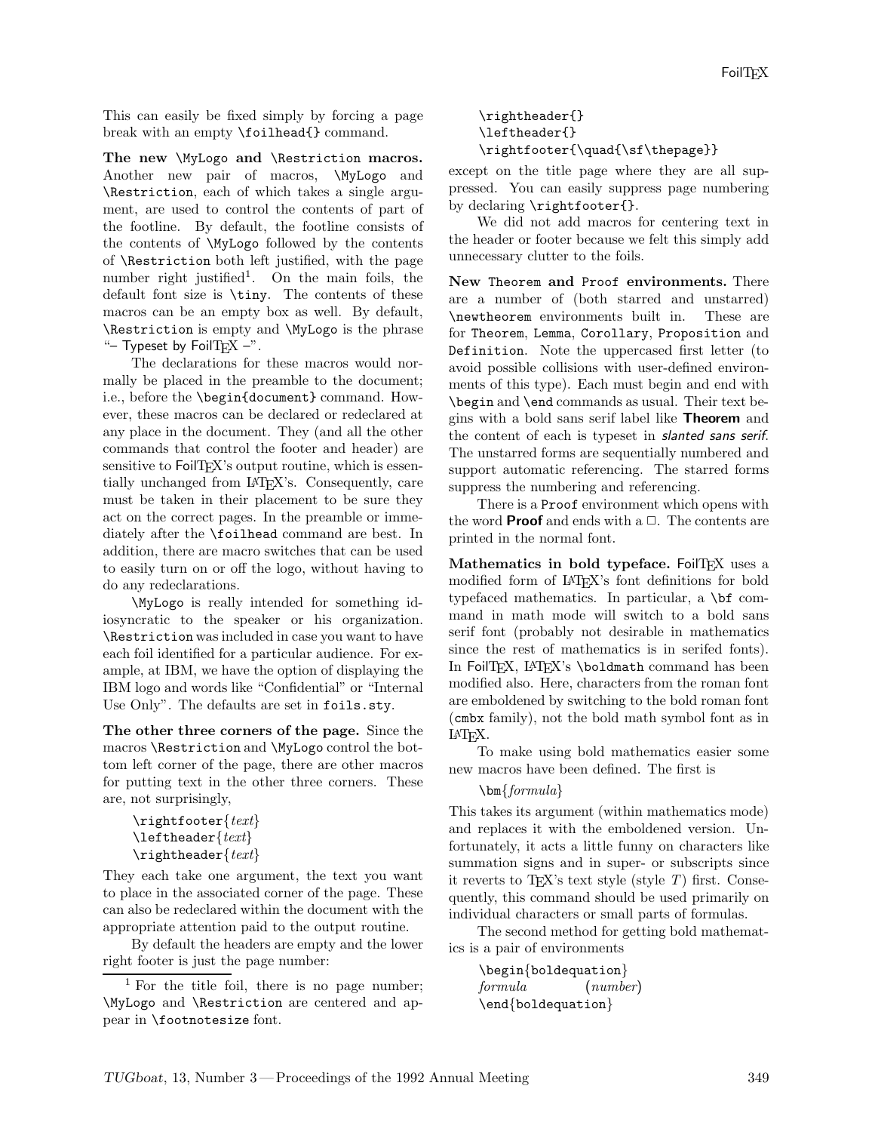This can easily be fixed simply by forcing a page break with an empty \foilhead{} command.

**The new** \MyLogo **and** \Restriction **macros.** Another new pair of macros, \MyLogo and \Restriction, each of which takes a single argument, are used to control the contents of part of the footline. By default, the footline consists of the contents of \MyLogo followed by the contents of \Restriction both left justified, with the page number right justified<sup>1</sup>. On the main foils, the default font size is \tiny. The contents of these macros can be an empty box as well. By default, \Restriction is empty and \MyLogo is the phrase "– Typeset by FoilTFX  $-$ ".

The declarations for these macros would normally be placed in the preamble to the document; i.e., before the \begin{document} command. However, these macros can be declared or redeclared at any place in the document. They (and all the other commands that control the footer and header) are sensitive to FoilTFX's output routine, which is essentially unchanged from LATEX's. Consequently, care must be taken in their placement to be sure they act on the correct pages. In the preamble or immediately after the \foilhead command are best. In addition, there are macro switches that can be used to easily turn on or off the logo, without having to do any redeclarations.

\MyLogo is really intended for something idiosyncratic to the speaker or his organization. \Restriction was included in case you want to have each foil identified for a particular audience. For example, at IBM, we have the option of displaying the IBM logo and words like "Confidential" or "Internal Use Only". The defaults are set in foils.sty.

**The other three corners of the page.** Since the macros \Restriction and \MyLogo control the bottom left corner of the page, there are other macros for putting text in the other three corners. These are, not surprisingly,

```
\rightfooter{text}
\leftheader{text}
\rightheader{text}
```
They each take one argument, the text you want to place in the associated corner of the page. These can also be redeclared within the document with the appropriate attention paid to the output routine.

By default the headers are empty and the lower right footer is just the page number:

#### \rightheader{} \leftheader{} \rightfooter{\quad{\sf\thepage}}

except on the title page where they are all suppressed. You can easily suppress page numbering by declaring \rightfooter{}.

We did not add macros for centering text in the header or footer because we felt this simply add unnecessary clutter to the foils.

**New** Theorem **and** Proof **environments.** There are a number of (both starred and unstarred) \newtheorem environments built in. These are for Theorem, Lemma, Corollary, Proposition and Definition. Note the uppercased first letter (to avoid possible collisions with user-defined environments of this type). Each must begin and end with \begin and \end commands as usual. Their text begins with a bold sans serif label like **Theorem** and the content of each is typeset in *slanted sans serif*. The unstarred forms are sequentially numbered and support automatic referencing. The starred forms suppress the numbering and referencing.

There is a Proof environment which opens with the word **Proof** and ends with a  $\Box$ . The contents are printed in the normal font.

Mathematics in bold typeface. FoilTFX uses a modified form of LATEX's font definitions for bold typefaced mathematics. In particular, a \bf command in math mode will switch to a bold sans serif font (probably not desirable in mathematics since the rest of mathematics is in serifed fonts). In FoilTEX, LATEX's \boldmath command has been modified also. Here, characters from the roman font are emboldened by switching to the bold roman font (cmbx family), not the bold math symbol font as in LATEX.

To make using bold mathematics easier some new macros have been defined. The first is

#### \bm{*formula*}

This takes its argument (within mathematics mode) and replaces it with the emboldened version. Unfortunately, it acts a little funny on characters like summation signs and in super- or subscripts since it reverts to TEX's text style (style *T*) first. Consequently, this command should be used primarily on individual characters or small parts of formulas.

The second method for getting bold mathematics is a pair of environments

\begin{boldequation} *formula* (*number*) \end{boldequation}

<sup>&</sup>lt;sup>1</sup> For the title foil, there is no page number; \MyLogo and \Restriction are centered and appear in \footnotesize font.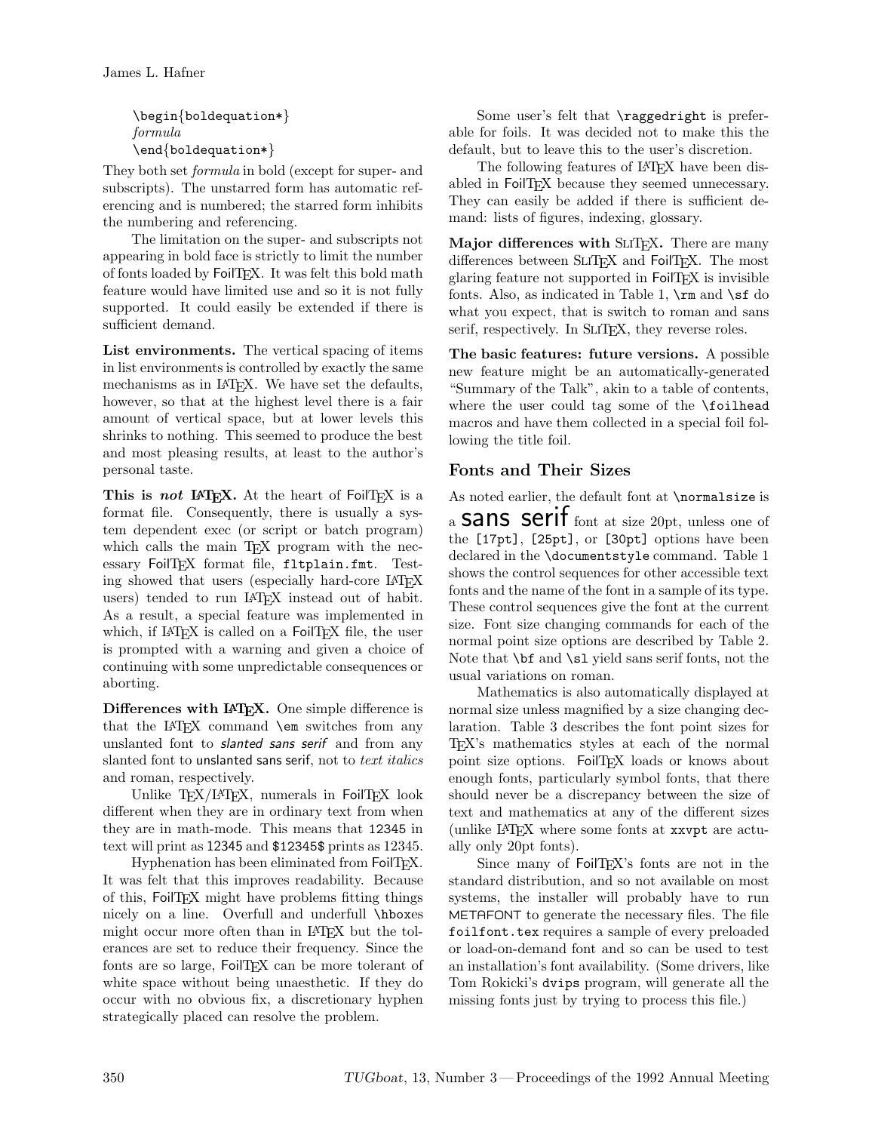\begin{boldequation\*} *formula* \end{boldequation\*}

They both set *formula* in bold (except for super- and subscripts). The unstarred form has automatic referencing and is numbered; the starred form inhibits the numbering and referencing.

The limitation on the super- and subscripts not appearing in bold face is strictly to limit the number of fonts loaded by FoilTFX. It was felt this bold math feature would have limited use and so it is not fully supported. It could easily be extended if there is sufficient demand.

**List environments.** The vertical spacing of items in list environments is controlled by exactly the same mechanisms as in LAT<sub>EX</sub>. We have set the defaults, however, so that at the highest level there is a fair amount of vertical space, but at lower levels this shrinks to nothing. This seemed to produce the best and most pleasing results, at least to the author's personal taste.

**This is** *not* **LATEX.** At the heart of FoilTEX is a format file. Consequently, there is usually a system dependent exec (or script or batch program) which calls the main T<sub>EX</sub> program with the necessary FoilTFX format file, fltplain.fmt. Testing showed that users (especially hard-core LAT<sub>EX</sub> users) tended to run LATEX instead out of habit. As a result, a special feature was implemented in which, if  $\text{LATEX}$  is called on a FoilTEX file, the user is prompted with a warning and given a choice of continuing with some unpredictable consequences or aborting.

**Differences with LATEX.** One simple difference is that the LATEX command \em switches from any unslanted font to *slanted sans serif* and from any slanted font to unslanted sans serif, not to *text italics* and roman, respectively.

Unlike TEX/LATEX, numerals in FoilTEX look different when they are in ordinary text from when they are in math-mode. This means that 12345 in text will print as 12345 and \$12345\$ prints as 12345.

Hyphenation has been eliminated from FoilTFX. It was felt that this improves readability. Because of this, FoilTEX might have problems fitting things nicely on a line. Overfull and underfull \hboxes might occur more often than in LAT<sub>EX</sub> but the tolerances are set to reduce their frequency. Since the fonts are so large, FoilTEX can be more tolerant of white space without being unaesthetic. If they do occur with no obvious fix, a discretionary hyphen strategically placed can resolve the problem.

Some user's felt that \raggedright is preferable for foils. It was decided not to make this the default, but to leave this to the user's discretion.

The following features of LAT<sub>EX</sub> have been disabled in FoilTEX because they seemed unnecessary. They can easily be added if there is sufficient demand: lists of figures, indexing, glossary.

**Major differences with SLITEX.** There are many differences between SLIT<sub>EX</sub> and FoilT<sub>EX</sub>. The most glaring feature not supported in FoilT<sub>EX</sub> is invisible fonts. Also, as indicated in Table 1,  $\rm \sum$  and  $\rm \sum$  do what you expect, that is switch to roman and sans serif, respectively. In SLIT<sub>E</sub>X, they reverse roles.

**The basic features: future versions.** A possible new feature might be an automatically-generated "Summary of the Talk", akin to a table of contents, where the user could tag some of the **\foilhead** macros and have them collected in a special foil following the title foil.

#### **Fonts and Their Sizes**

As noted earlier, the default font at \normalsize is

a **Sans Serif** font at size 20pt, unless one of the [17pt], [25pt], or [30pt] options have been declared in the \documentstyle command. Table 1 shows the control sequences for other accessible text fonts and the name of the font in a sample of its type. These control sequences give the font at the current size. Font size changing commands for each of the normal point size options are described by Table 2. Note that \bf and \sl yield sans serif fonts, not the usual variations on roman.

Mathematics is also automatically displayed at normal size unless magnified by a size changing declaration. Table 3 describes the font point sizes for TEX's mathematics styles at each of the normal point size options. FoilTFX loads or knows about enough fonts, particularly symbol fonts, that there should never be a discrepancy between the size of text and mathematics at any of the different sizes (unlike LATEX where some fonts at xxvpt are actually only 20pt fonts).

Since many of FoilTFX's fonts are not in the standard distribution, and so not available on most systems, the installer will probably have to run METAFONT to generate the necessary files. The file foilfont.tex requires a sample of every preloaded or load-on-demand font and so can be used to test an installation's font availability. (Some drivers, like Tom Rokicki's dvips program, will generate all the missing fonts just by trying to process this file.)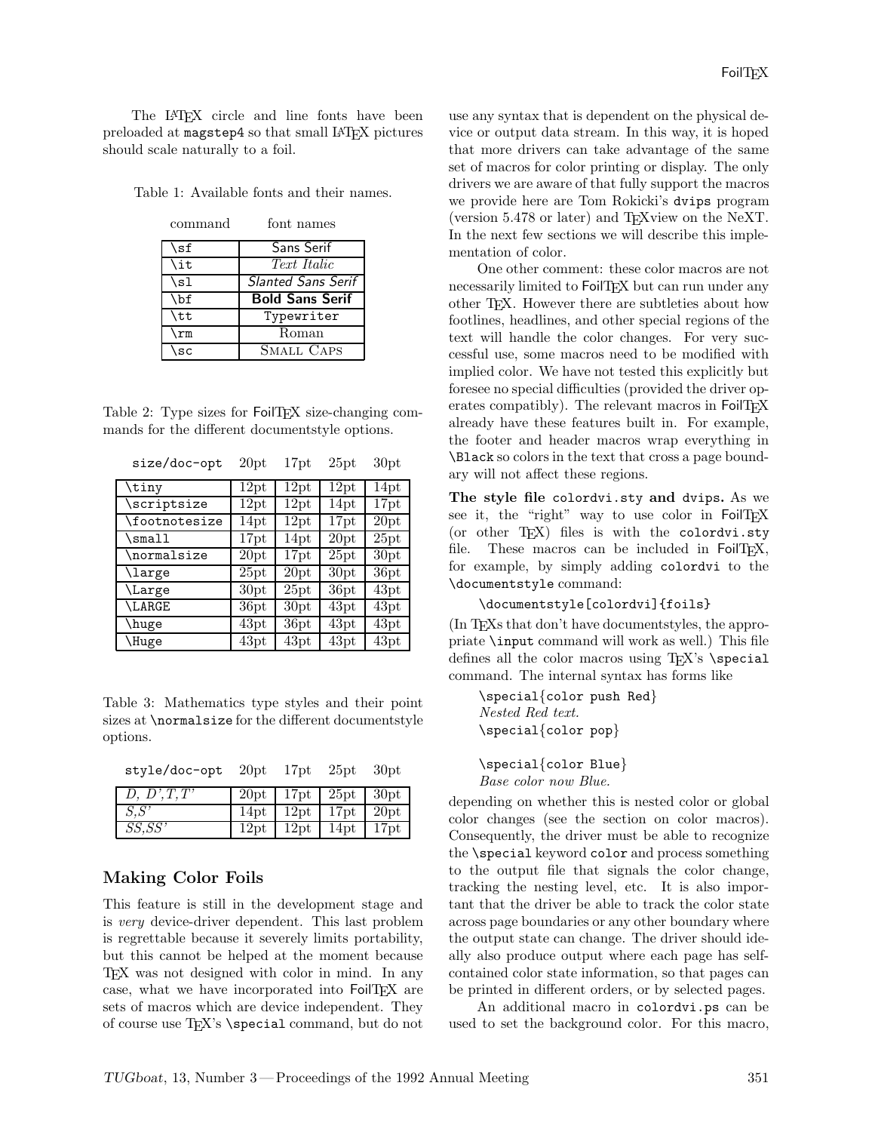The LAT<sub>EX</sub> circle and line fonts have been preloaded at magstep4 so that small LAT<sub>EX</sub> pictures should scale naturally to a foil.

Table 1: Available fonts and their names.

| \sf       | Sans Serif                |
|-----------|---------------------------|
| \it       | Text Italic               |
| \sl       | <b>Slanted Sans Serif</b> |
| \bf       | <b>Bold Sans Serif</b>    |
| \tt       | Typewriter                |
| \rm       | Roman                     |
| <b>SC</b> | <b>SMALL CAPS</b>         |

Table 2: Type sizes for FoilT<sub>F</sub>X size-changing commands for the different documentstyle options.

| size/doc-opt     | 20pt | 17pt | 25pt | 30pt |
|------------------|------|------|------|------|
| $\tau$           | 12pt | 12pt | 12pt | 14pt |
| $\verb \script $ | 12pt | 12pt | 14pt | 17pt |
| \footnotesize    | 14pt | 12pt | 17pt | 20pt |
| \small           | 17pt | 14pt | 20pt | 25pt |
| \normalsize      | 20pt | 17pt | 25pt | 30pt |
| \large           | 25pt | 20pt | 30pt | 36pt |
| \Large           | 30pt | 25pt | 36pt | 43pt |
| \LARGE           | 36pt | 30pt | 43pt | 43pt |
| \huge            | 43pt | 36pt | 43pt | 43pt |
| \Huge            | 43pt | 43pt | 43pt | 43pt |

Table 3: Mathematics type styles and their point sizes at \normalsize for the different documentstyle options.

| style/doc-opt | 20pt                      | 17pt                              | 25pt | 30pt       |
|---------------|---------------------------|-----------------------------------|------|------------|
| D, D', T, T'  | 20pt   17pt   25pt   30pt |                                   |      |            |
| S.S'          |                           | $14pt$   $12pt$   $17pt$          |      | $\pm 20pt$ |
| SS, SS'       |                           | $12pt$   $12pt$   $14pt$   $17pt$ |      |            |

#### **Making Color Foils**

This feature is still in the development stage and is *very* device-driver dependent. This last problem is regrettable because it severely limits portability, but this cannot be helped at the moment because TEX was not designed with color in mind. In any case, what we have incorporated into FoilTEX are sets of macros which are device independent. They of course use TEX's \special command, but do not

use any syntax that is dependent on the physical device or output data stream. In this way, it is hoped that more drivers can take advantage of the same set of macros for color printing or display. The only drivers we are aware of that fully support the macros we provide here are Tom Rokicki's dvips program (version 5.478 or later) and TEXview on the NeXT. In the next few sections we will describe this implementation of color.

One other comment: these color macros are not necessarily limited to FoilT<sub>EX</sub> but can run under any other TEX. However there are subtleties about how footlines, headlines, and other special regions of the text will handle the color changes. For very successful use, some macros need to be modified with implied color. We have not tested this explicitly but foresee no special difficulties (provided the driver operates compatibly). The relevant macros in FoilT<sub>E</sub>X already have these features built in. For example, the footer and header macros wrap everything in \Black so colors in the text that cross a page boundary will not affect these regions.

**The style file** colordvi.sty **and** dvips**.** As we see it, the "right" way to use color in FoilTEX (or other TEX) files is with the colordvi.sty file. These macros can be included in FoilTEX, for example, by simply adding colordvi to the \documentstyle command:

```
\documentstyle[colordvi]{foils}
```
(In TEXs that don't have documentstyles, the appropriate \input command will work as well.) This file defines all the color macros using TEX's \special command. The internal syntax has forms like

\special{color push Red} *Nested Red text.* \special{color pop}

\special{color Blue} *Base color now Blue.*

depending on whether this is nested color or global color changes (see the section on color macros). Consequently, the driver must be able to recognize the \special keyword color and process something to the output file that signals the color change, tracking the nesting level, etc. It is also important that the driver be able to track the color state across page boundaries or any other boundary where the output state can change. The driver should ideally also produce output where each page has selfcontained color state information, so that pages can be printed in different orders, or by selected pages.

An additional macro in colordvi.ps can be used to set the background color. For this macro,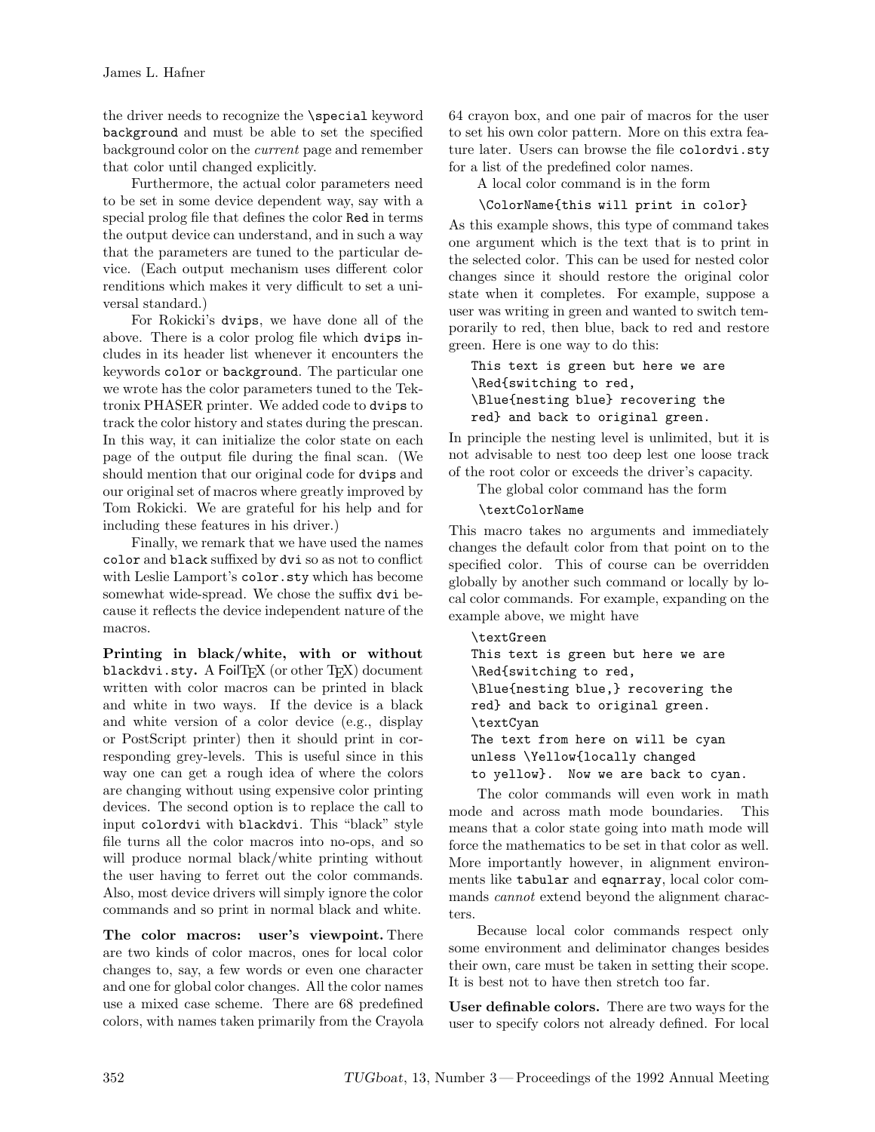the driver needs to recognize the \special keyword background and must be able to set the specified background color on the *current* page and remember that color until changed explicitly.

Furthermore, the actual color parameters need to be set in some device dependent way, say with a special prolog file that defines the color Red in terms the output device can understand, and in such a way that the parameters are tuned to the particular device. (Each output mechanism uses different color renditions which makes it very difficult to set a universal standard.)

For Rokicki's dvips, we have done all of the above. There is a color prolog file which dvips includes in its header list whenever it encounters the keywords color or background. The particular one we wrote has the color parameters tuned to the Tektronix PHASER printer. We added code to dvips to track the color history and states during the prescan. In this way, it can initialize the color state on each page of the output file during the final scan. (We should mention that our original code for dvips and our original set of macros where greatly improved by Tom Rokicki. We are grateful for his help and for including these features in his driver.)

Finally, we remark that we have used the names color and black suffixed by dvi so as not to conflict with Leslie Lamport's color.sty which has become somewhat wide-spread. We chose the suffix dvi because it reflects the device independent nature of the macros.

**Printing in black/white, with or without** blackdvi.sty. A FoilT<sub>F</sub>X (or other T<sub>F</sub>X) document written with color macros can be printed in black and white in two ways. If the device is a black and white version of a color device (e.g., display or PostScript printer) then it should print in corresponding grey-levels. This is useful since in this way one can get a rough idea of where the colors are changing without using expensive color printing devices. The second option is to replace the call to input colordvi with blackdvi. This "black" style file turns all the color macros into no-ops, and so will produce normal black/white printing without the user having to ferret out the color commands. Also, most device drivers will simply ignore the color commands and so print in normal black and white.

**The color macros: user's viewpoint.** There are two kinds of color macros, ones for local color changes to, say, a few words or even one character and one for global color changes. All the color names use a mixed case scheme. There are 68 predefined colors, with names taken primarily from the Crayola 64 crayon box, and one pair of macros for the user to set his own color pattern. More on this extra feature later. Users can browse the file colordvi.sty for a list of the predefined color names.

A local color command is in the form

```
\ColorName{this will print in color}
```
As this example shows, this type of command takes one argument which is the text that is to print in the selected color. This can be used for nested color changes since it should restore the original color state when it completes. For example, suppose a user was writing in green and wanted to switch temporarily to red, then blue, back to red and restore green. Here is one way to do this:

```
This text is green but here we are
\Red{switching to red,
\Blue{nesting blue} recovering the
red} and back to original green.
```
In principle the nesting level is unlimited, but it is not advisable to nest too deep lest one loose track of the root color or exceeds the driver's capacity.

The global color command has the form

\textColorName

This macro takes no arguments and immediately changes the default color from that point on to the specified color. This of course can be overridden globally by another such command or locally by local color commands. For example, expanding on the example above, we might have

```
\textGreen
This text is green but here we are
\Red{switching to red,
\Blue{nesting blue,} recovering the
red} and back to original green.
\textCyan
The text from here on will be cyan
unless \Yellow{locally changed
to yellow}. Now we are back to cyan.
```
The color commands will even work in math mode and across math mode boundaries. This means that a color state going into math mode will force the mathematics to be set in that color as well. More importantly however, in alignment environments like tabular and eqnarray, local color commands *cannot* extend beyond the alignment characters.

Because local color commands respect only some environment and deliminator changes besides their own, care must be taken in setting their scope. It is best not to have then stretch too far.

**User definable colors.** There are two ways for the user to specify colors not already defined. For local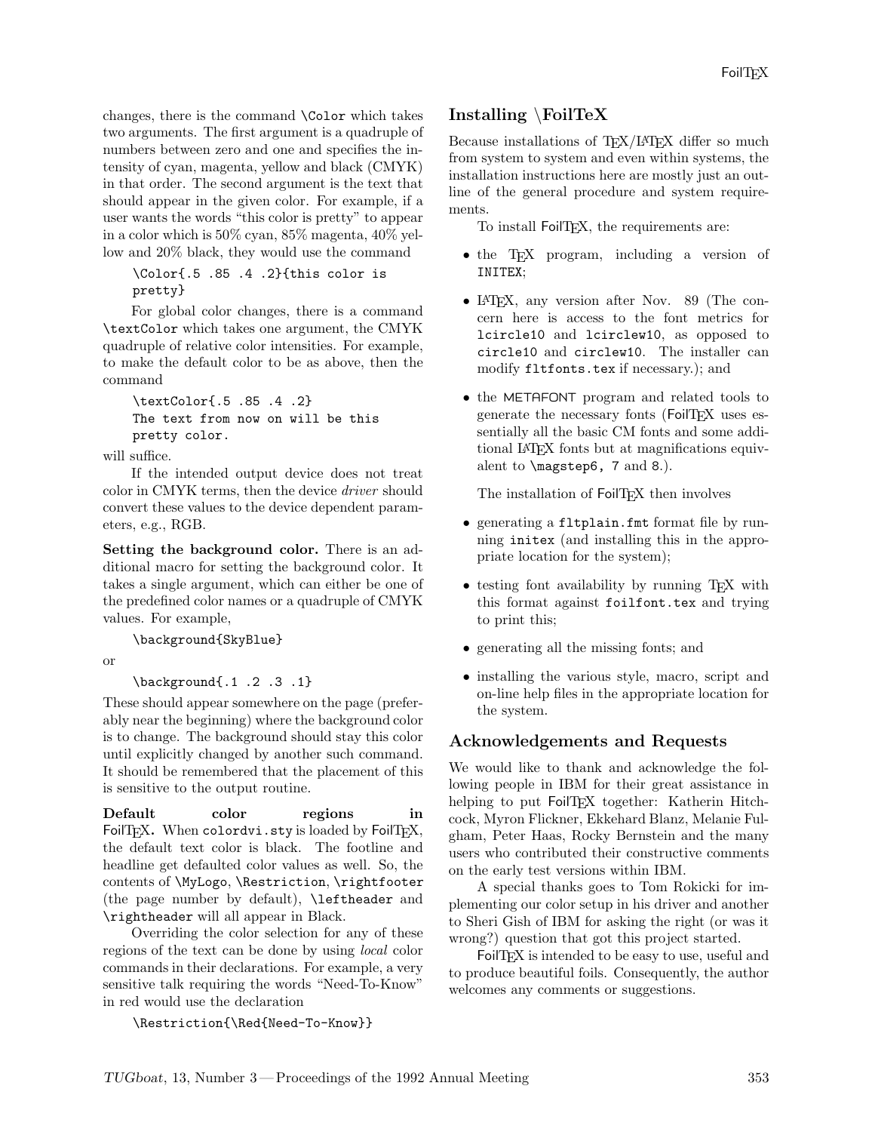changes, there is the command \Color which takes two arguments. The first argument is a quadruple of numbers between zero and one and specifies the intensity of cyan, magenta, yellow and black (CMYK) in that order. The second argument is the text that should appear in the given color. For example, if a user wants the words "this color is pretty" to appear in a color which is 50% cyan, 85% magenta, 40% yellow and 20% black, they would use the command

\Color{.5 .85 .4 .2}{this color is pretty}

For global color changes, there is a command \textColor which takes one argument, the CMYK quadruple of relative color intensities. For example, to make the default color to be as above, then the command

```
\textColor{.5 .85 .4 .2}
The text from now on will be this
pretty color.
```
will suffice.

If the intended output device does not treat color in CMYK terms, then the device *driver* should convert these values to the device dependent parameters, e.g., RGB.

**Setting the background color.** There is an additional macro for setting the background color. It takes a single argument, which can either be one of the predefined color names or a quadruple of CMYK values. For example,

\background{SkyBlue}

or

\background{.1 .2 .3 .1}

These should appear somewhere on the page (preferably near the beginning) where the background color is to change. The background should stay this color until explicitly changed by another such command. It should be remembered that the placement of this is sensitive to the output routine.

**Default color regions in** FoilT<sub>F</sub>X. When colordvi.sty is loaded by FoilT<sub>F</sub>X, the default text color is black. The footline and headline get defaulted color values as well. So, the contents of \MyLogo, \Restriction, \rightfooter (the page number by default), \leftheader and \rightheader will all appear in Black.

Overriding the color selection for any of these regions of the text can be done by using *local* color commands in their declarations. For example, a very sensitive talk requiring the words "Need-To-Know" in red would use the declaration

\Restriction{\Red{Need-To-Know}}

#### **Installing** \**FoilTeX**

Because installations of T<sub>EX</sub>/LAT<sub>EX</sub> differ so much from system to system and even within systems, the installation instructions here are mostly just an outline of the general procedure and system requirements.

To install FoilT<sub>F</sub>X, the requirements are:

- the TEX program, including a version of INITEX;
- LAT<sub>F</sub>X, any version after Nov. 89 (The concern here is access to the font metrics for lcircle10 and lcirclew10, as opposed to circle10 and circlew10. The installer can modify fltfonts.tex if necessary.); and
- the METAFONT program and related tools to generate the necessary fonts (FoilTFX uses essentially all the basic CM fonts and some additional LATEX fonts but at magnifications equivalent to \magstep6, 7 and 8.).

The installation of FoilTFX then involves

- generating a fltplain.fmt format file by running initex (and installing this in the appropriate location for the system);
- testing font availability by running T<sub>EX</sub> with this format against foilfont.tex and trying to print this;
- generating all the missing fonts; and
- installing the various style, macro, script and on-line help files in the appropriate location for the system.

#### **Acknowledgements and Requests**

We would like to thank and acknowledge the following people in IBM for their great assistance in helping to put FoilTFX together: Katherin Hitchcock, Myron Flickner, Ekkehard Blanz, Melanie Fulgham, Peter Haas, Rocky Bernstein and the many users who contributed their constructive comments on the early test versions within IBM.

A special thanks goes to Tom Rokicki for implementing our color setup in his driver and another to Sheri Gish of IBM for asking the right (or was it wrong?) question that got this project started.

FoilTEX is intended to be easy to use, useful and to produce beautiful foils. Consequently, the author welcomes any comments or suggestions.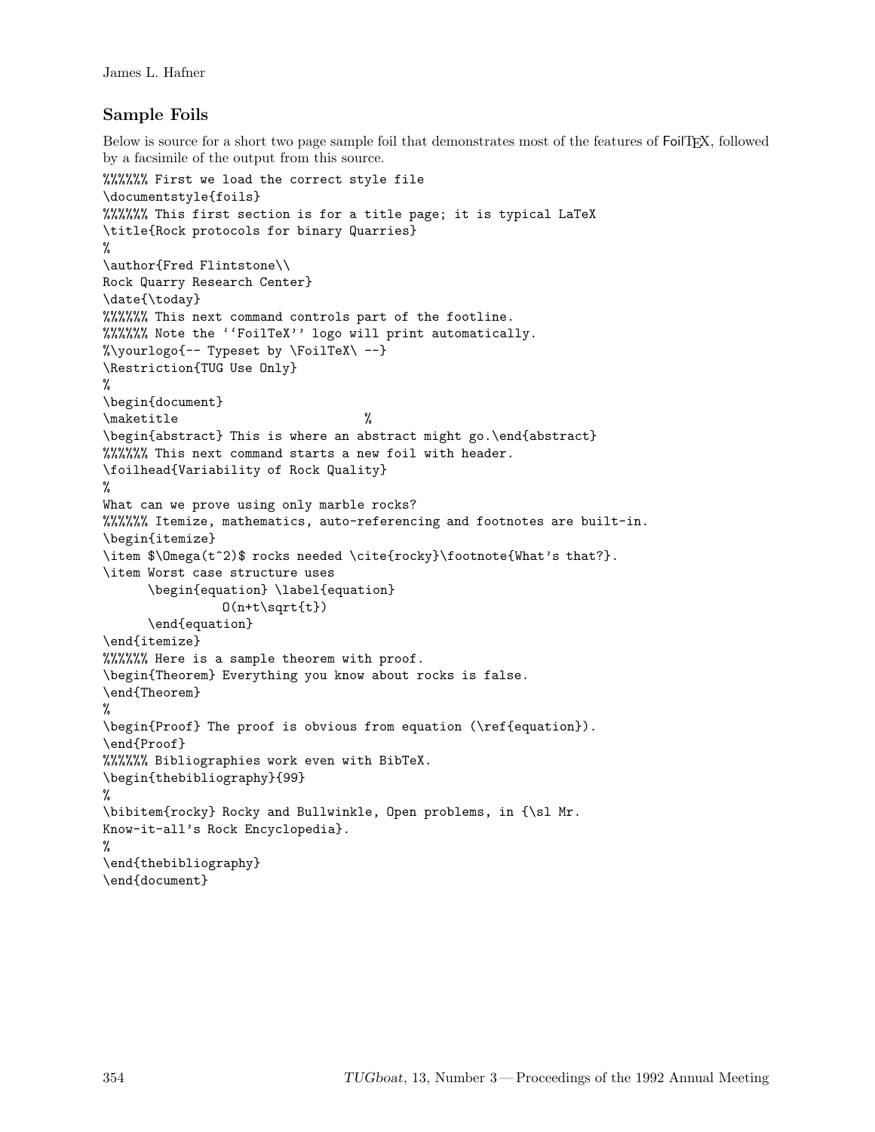#### **Sample Foils**

Below is source for a short two page sample foil that demonstrates most of the features of FoilTEX, followed by a facsimile of the output from this source.

```
%%%%%% First we load the correct style file
\documentstyle{foils}
%%%%%% This first section is for a title page; it is typical LaTeX
\title{Rock protocols for binary Quarries}
%
\author{Fred Flintstone\\
Rock Quarry Research Center}
\date{\today}
%%%%%% This next command controls part of the footline.
%%%%%% Note the ''FoilTeX'' logo will print automatically.
%\yourlogo{-- Typeset by \FoilTeX\ --}
\Restriction{TUG Use Only}
%
\begin{document}
\maketitle %
\begin{abstract} This is where an abstract might go.\end{abstract}
%%%%%% This next command starts a new foil with header.
\foilhead{Variability of Rock Quality}
%
What can we prove using only marble rocks?
%%%%%% Itemize, mathematics, auto-referencing and footnotes are built-in.
\begin{itemize}
\item $\Omega(t^2)$ rocks needed \cite{rocky}\footnote{What's that?}.
\item Worst case structure uses
     \begin{equation} \label{equation}
               0(n+t\sqrt{t})\end{equation}
\end{itemize}
%%%%%% Here is a sample theorem with proof.
\begin{Theorem} Everything you know about rocks is false.
\end{Theorem}
%
\begin{Proof} The proof is obvious from equation (\ref{equation}).
\end{Proof}
%%%%%% Bibliographies work even with BibTeX.
\begin{thebibliography}{99}
%
\bibitem{rocky} Rocky and Bullwinkle, Open problems, in {\sl Mr.
Know-it-all's Rock Encyclopedia}.
%
\end{thebibliography}
\end{document}
```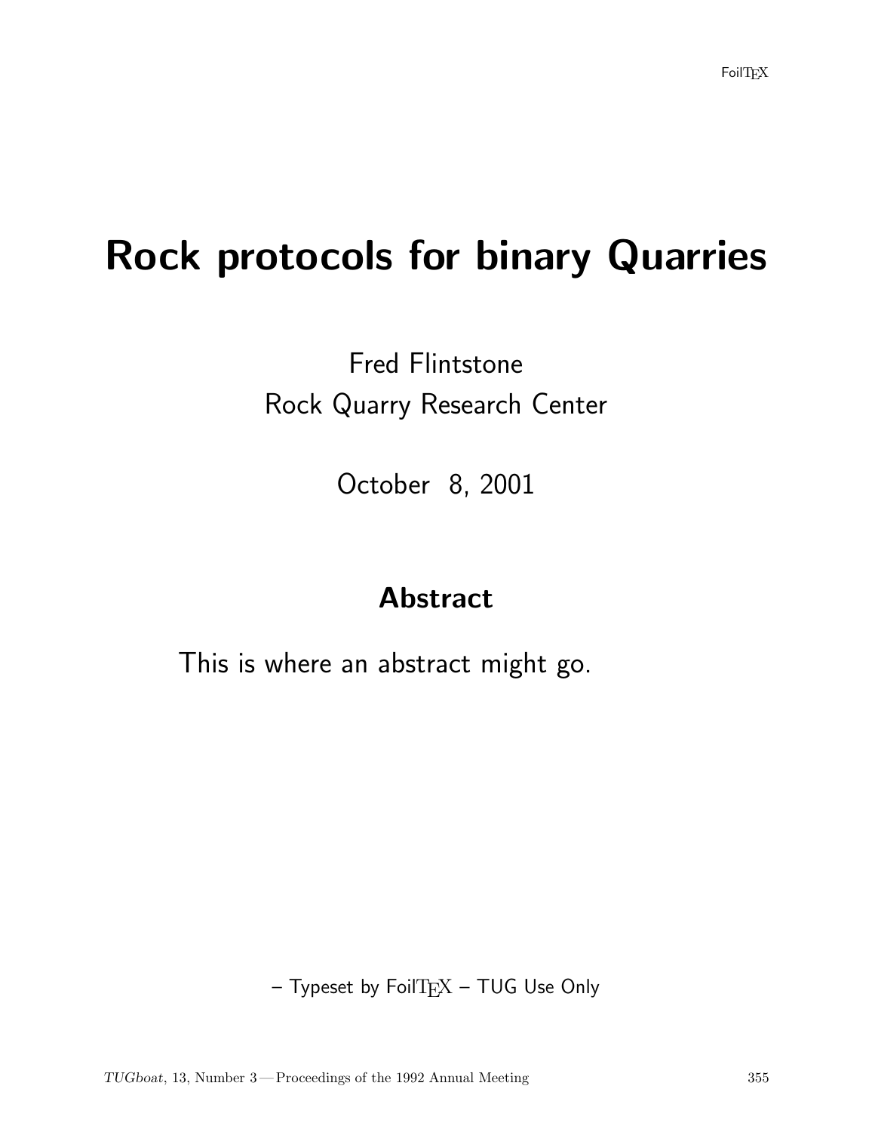# **Rock protocols for binary Quarries**

### Fred Flintstone Rock Quarry Research Center

October 8, 2001

### **Abstract**

This is where an abstract might go.

 $-$  Typeset by FoilT $EX - TUG$  Use Only